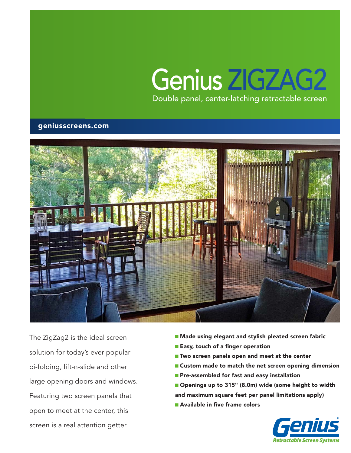# Double panel, center-latching retractable screen Genius ZIGZAG2

### geniusscreens.com



The ZigZag2 is the ideal screen solution for today's ever popular bi-folding, lift-n-slide and other large opening doors and windows. Featuring two screen panels that open to meet at the center, this screen is a real attention getter.

- Made using elegant and stylish pleated screen fabric
- Easy, touch of a finger operation
- Two screen panels open and meet at the center
- Custom made to match the net screen opening dimension
- Pre-assembled for fast and easy installation
- Openings up to 315" (8.0m) wide (some height to width
- and maximum square feet per panel limitations apply)
- Available in five frame colors

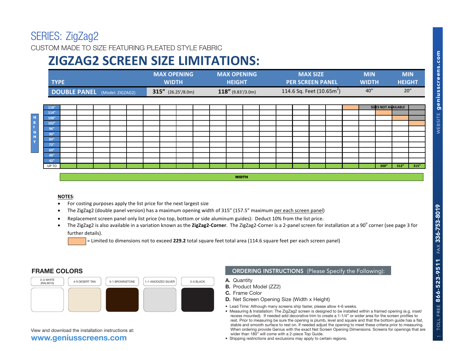**ZEI (IEOT ZIGZAGZ)<br>CUSTOM MADE TO SIZE FEATURING PLEATED STYLE FABRIC** 

#### **TYPE MAX WIDTH MAX OPENING HEIGHT ZIGZAG2 SCREEN SIZE LIMITATIONS:**

| <b>TYPE</b>            |                                                                                                                                         | <b>MAX OPENING</b><br><b>WIDTH</b> | <b>MAX OPENING</b><br><b>HEIGHT</b>             | <b>MAX SIZE</b><br><b>PER SCREEN PANEL</b>                                                                                                                                                                                                                                              | <b>MIN</b><br><b>WIDTH</b> | <b>MIN</b><br><b>HEIGHT</b> |
|------------------------|-----------------------------------------------------------------------------------------------------------------------------------------|------------------------------------|-------------------------------------------------|-----------------------------------------------------------------------------------------------------------------------------------------------------------------------------------------------------------------------------------------------------------------------------------------|----------------------------|-----------------------------|
|                        | <b>DOUBLE PANEL</b> (Model: ZIGZAG2)                                                                                                    | $315''$ (26.25'/8.0m)              | $118''$ (9.83'/3.0m)                            | 114.6 Sq. Feet $(10.65m^2)$                                                                                                                                                                                                                                                             | 40''                       | 20''                        |
| 118''                  |                                                                                                                                         |                                    |                                                 |                                                                                                                                                                                                                                                                                         | <b>SIZES NOT AVAILABLE</b> |                             |
| 114''<br>108''         |                                                                                                                                         |                                    |                                                 |                                                                                                                                                                                                                                                                                         |                            |                             |
| 102"                   |                                                                                                                                         |                                    |                                                 |                                                                                                                                                                                                                                                                                         |                            |                             |
| 96''<br>90''           |                                                                                                                                         |                                    |                                                 |                                                                                                                                                                                                                                                                                         |                            |                             |
| 84"                    |                                                                                                                                         |                                    |                                                 |                                                                                                                                                                                                                                                                                         |                            |                             |
| 72"<br>60''            |                                                                                                                                         |                                    |                                                 |                                                                                                                                                                                                                                                                                         |                            |                             |
| 48''                   |                                                                                                                                         |                                    |                                                 |                                                                                                                                                                                                                                                                                         |                            |                             |
| 42"<br>UP TO           |                                                                                                                                         |                                    |                                                 |                                                                                                                                                                                                                                                                                         | 300"                       | 312''<br>315''              |
|                        | Replacement screen panel only list price (no top, bottom or side aluminum guides): Deduct 10% from the list price.<br>further details). |                                    |                                                 | The ZigZag2 is also available in a variation known as the ZigZag2-Corner. The ZigZag2-Corner is a 2-panel screen for installation at a 90° corner (see page 3 for<br>= Limited to dimensions not to exceed 229.2 total square feet total area (114.6 square feet per each screen panel) |                            |                             |
|                        |                                                                                                                                         |                                    |                                                 |                                                                                                                                                                                                                                                                                         |                            |                             |
| <b>FRAME COLORS</b>    |                                                                                                                                         |                                    |                                                 | <b>ORDERING INSTRUCTIONS</b> (Please Specify the Following):                                                                                                                                                                                                                            |                            |                             |
| 2-3 WHITE<br>(RAL9010) | 4-9 DESERT TAN<br>5-1 BROWNSTONE                                                                                                        | 1-1 ANODIZED SILVER<br>2-5 BLACK   | A. Quantity                                     |                                                                                                                                                                                                                                                                                         |                            |                             |
|                        |                                                                                                                                         |                                    | <b>B.</b> Product Model (ZZ2)<br>C. Frame Color | D. Net Screen Opening Size (Width x Height)                                                                                                                                                                                                                                             |                            |                             |

#### **NOTES**: **42000** \$1,4520  $\overline{10112}$ .

- •For costing purposes apply the list price for the next largest size
- •• The ZigZag2 (double panel version) has a maximum opening width of 315" (157.5" maximum <u>per each screen panel</u>)
- •Replacement screen panel only list price (no top, bottom or side aluminum guides): Deduct 10% from the list price.
- •• The ZigZag2 is also available in a variation known as the ZigZag2-Corner. The ZigZag2-Corner is a 2-panel screen for installation at a 90<sup>°</sup> corner (see page 3 for  $f$ urther details).  $\blacksquare$



### **www.geniusscreens.com**

### **ORDERING INSTRUCTIONS** (Please Specify the Following):

- 
- 
- 
- Lead Time: Although many screens ship faster, please allow 4-6 weeks.
- Measuring & Installation: The ZigZag2 screen is designed to be installed within a framed opening (e.g. inset/ recess mounted). If needed add decorative trim to create a 1-1/4" or wider area for the screen profiles to rest. Prior to measuring be sure the opening is plumb, level and square and that the bottom guide has a flat, stable and smooth surface to rest on. If needed adjust the opening to meet these criteria prior to measuring. When ordering provide Genius with the exact Net Screen Opening Dimensions. Screens for openings that are wider than 180" will come with a 2-piece Top Guide.
- Shipping restrictions and exclusions may apply to certain regions.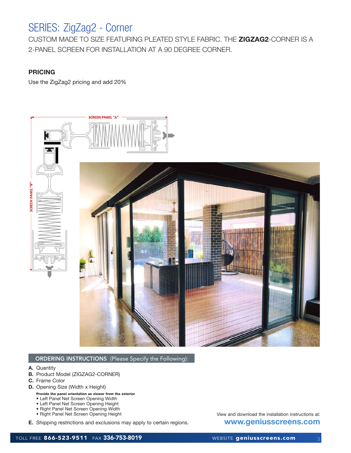## SERIES: ZigZag2 - Corner

CUSTOM MADE TO SIZE FEATURING PLEATED STYLE FABRIC. THE **ZIGZAG2**-CORNER IS A 2-PANEL SCREEN FOR INSTALLATION AT A 90 DEGREE CORNER.

### **PRICING**

Use the ZigZag2 pricing and add 20%



#### ORDERING INSTRUCTIONS (Please Specify the Following):

- **A.** Quantity
- **B.** Product Model (ZIGZAG2-CORNER)
- **C.** Frame Color
- **D.** Opening Size (Width x Height)
	- Provide the panel orientation as viewer from the exterior
	- Left Panel Net Screen Opening Width
	- Left Panel Net Screen Opening Height
	- Right Panel Net Screen Opening Width
	- Right Panel Net Screen Opening Height
- **E.** Shipping restrictions and exclusions may apply to certain regions.

View and download the installation instructions at: **www.geniusscreens.com**